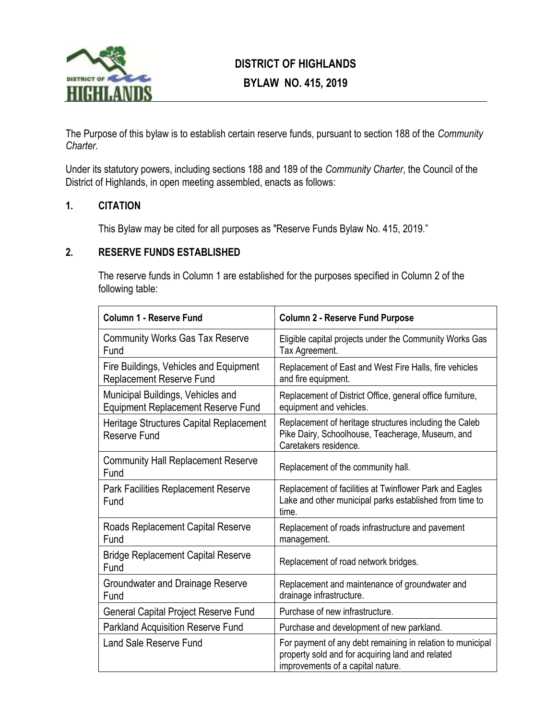

# **DISTRICT OF HIGHLANDS BYLAW NO. 415, 2019**

The Purpose of this bylaw is to establish certain reserve funds, pursuant to section 188 of the *Community Charter*.

Under its statutory powers, including sections 188 and 189 of the *Community Charter*, the Council of the District of Highlands, in open meeting assembled, enacts as follows:

#### **1. CITATION**

This Bylaw may be cited for all purposes as "Reserve Funds Bylaw No. 415, 2019."

#### **2. RESERVE FUNDS ESTABLISHED**

The reserve funds in Column 1 are established for the purposes specified in Column 2 of the following table:

| Column 1 - Reserve Fund                                                        | <b>Column 2 - Reserve Fund Purpose</b>                                                                                                              |  |  |
|--------------------------------------------------------------------------------|-----------------------------------------------------------------------------------------------------------------------------------------------------|--|--|
| <b>Community Works Gas Tax Reserve</b><br>Fund                                 | Eligible capital projects under the Community Works Gas<br>Tax Agreement.                                                                           |  |  |
| Fire Buildings, Vehicles and Equipment<br><b>Replacement Reserve Fund</b>      | Replacement of East and West Fire Halls, fire vehicles<br>and fire equipment.                                                                       |  |  |
| Municipal Buildings, Vehicles and<br><b>Equipment Replacement Reserve Fund</b> | Replacement of District Office, general office furniture,<br>equipment and vehicles.                                                                |  |  |
| Heritage Structures Capital Replacement<br>Reserve Fund                        | Replacement of heritage structures including the Caleb<br>Pike Dairy, Schoolhouse, Teacherage, Museum, and<br>Caretakers residence.                 |  |  |
| <b>Community Hall Replacement Reserve</b><br>Fund                              | Replacement of the community hall.                                                                                                                  |  |  |
| <b>Park Facilities Replacement Reserve</b><br>Fund                             | Replacement of facilities at Twinflower Park and Eagles<br>Lake and other municipal parks established from time to<br>time.                         |  |  |
| Roads Replacement Capital Reserve<br>Fund                                      | Replacement of roads infrastructure and pavement<br>management.                                                                                     |  |  |
| <b>Bridge Replacement Capital Reserve</b><br>Fund                              | Replacement of road network bridges.                                                                                                                |  |  |
| Groundwater and Drainage Reserve<br>Fund                                       | Replacement and maintenance of groundwater and<br>drainage infrastructure.                                                                          |  |  |
| <b>General Capital Project Reserve Fund</b>                                    | Purchase of new infrastructure.                                                                                                                     |  |  |
| <b>Parkland Acquisition Reserve Fund</b>                                       | Purchase and development of new parkland.                                                                                                           |  |  |
| Land Sale Reserve Fund                                                         | For payment of any debt remaining in relation to municipal<br>property sold and for acquiring land and related<br>improvements of a capital nature. |  |  |